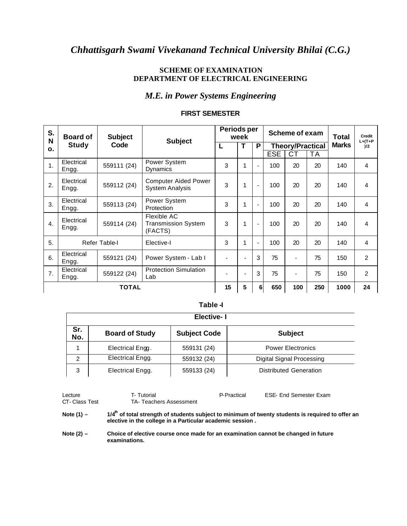# *Chhattisgarh Swami Vivekanand Technical University Bhilai (C.G.)*

### **SCHEME OF EXAMINATION DEPARTMENT OF ELECTRICAL ENGINEERING**

## *M.E. in Power Systems Engineering*

| S.<br>N        | <b>Board of</b>     | <b>Subject</b> | <b>Subject</b>                                        | Periods per | week |                          |                         | Scheme of exam | Total        | Credit<br>$L+(T+P)$ |                |
|----------------|---------------------|----------------|-------------------------------------------------------|-------------|------|--------------------------|-------------------------|----------------|--------------|---------------------|----------------|
| 0.             | <b>Study</b>        | Code           |                                                       | L           | т    | P                        | <b>Theory/Practical</b> |                | <b>Marks</b> | 1/2                 |                |
|                |                     |                |                                                       |             |      |                          | <b>ESE</b>              | СT             | ТA           |                     |                |
| 1.             | Electrical<br>Engg. | 559111 (24)    | Power System<br>Dynamics                              | 3           | 1    |                          | 100                     | 20             | 20           | 140                 | $\overline{4}$ |
| 2.             | Electrical<br>Engg. | 559112 (24)    | <b>Computer Aided Power</b><br><b>System Analysis</b> | 3           | 1    | $\blacksquare$           | 100                     | 20             | 20           | 140                 | 4              |
| 3.             | Electrical<br>Engg. | 559113 (24)    | Power System<br>Protection                            | 3           | 1    |                          | 100                     | 20             | 20           | 140                 | $\overline{4}$ |
| $\mathbf{4}$ . | Electrical<br>Engg. | 559114 (24)    | Flexible AC<br><b>Transmission System</b><br>(FACTS)  | 3           | 1    | $\overline{\phantom{a}}$ | 100                     | 20             | 20           | 140                 | $\overline{4}$ |
| 5.             |                     | Refer Table-I  | Elective-I                                            | 3           | 1    | $\blacksquare$           | 100                     | 20             | 20           | 140                 | 4              |
| 6.             | Electrical<br>Engg. | 559121 (24)    | Power System - Lab I                                  |             |      | 3                        | 75                      | $\blacksquare$ | 75           | 150                 | 2              |
| 7.             | Electrical<br>Engg. | 559122 (24)    | <b>Protection Simulation</b><br>Lab                   |             |      | 3                        | 75                      | $\blacksquare$ | 75           | 150                 | $\overline{2}$ |
|                | <b>TOTAL</b>        |                |                                                       | 15          | 5    | $6 \mid$                 | 650                     | 100            | 250          | 1000                | 24             |

#### **FIRST SEMESTER**

 **Table -I**

|            | <b>Elective-I</b>     |                     |                           |  |  |  |  |  |
|------------|-----------------------|---------------------|---------------------------|--|--|--|--|--|
| Sr.<br>No. | <b>Board of Study</b> | <b>Subject Code</b> | <b>Subject</b>            |  |  |  |  |  |
|            | Electrical Engg.      | 559131 (24)         | <b>Power Electronics</b>  |  |  |  |  |  |
| 2          | Electrical Engg.      | 559132 (24)         | Digital Signal Processing |  |  |  |  |  |
| 3          | Electrical Engg.      | 559133 (24)         | Distributed Generation    |  |  |  |  |  |

| Lecture<br>CT- Class Test | T- Tutorial<br>TA- Teachers Assessment                                                                                                                          | P-Practical | <b>ESE- End Semester Exam</b> |
|---------------------------|-----------------------------------------------------------------------------------------------------------------------------------------------------------------|-------------|-------------------------------|
| Note $(1)$ –              | $1/4m$ of total strength of students subject to minimum of twenty students is required to offer an<br>elective in the college in a Particular academic session. |             |                               |

Note (2) - Choice of elective course once made for an examination cannot be changed in future **examinations.**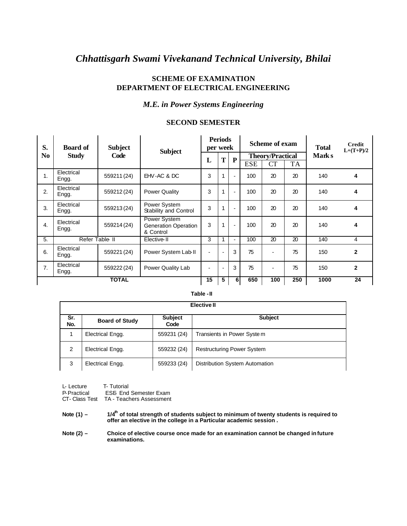# *Chhattisgarh Swami Vivekanand Technical University, Bhilai*

### **SCHEME OF EXAMINATION DEPARTMENT OF ELECTRICAL ENGINEERING**

### *M.E. in Power Systems Engineering*

#### **SECOND SEMESTER**

| S.               | <b>Board of</b>     | <b>Subject</b> | <b>Subject</b>                                    |                          | <b>Periods</b><br>per week |                          |            | Scheme of exam          |     | <b>Total</b> | Credit<br>$L+(T+P)/2$ |
|------------------|---------------------|----------------|---------------------------------------------------|--------------------------|----------------------------|--------------------------|------------|-------------------------|-----|--------------|-----------------------|
| No               | <b>Study</b>        | Code           |                                                   |                          |                            | P                        |            | <b>Theory/Practical</b> |     | <b>Marks</b> |                       |
|                  |                     |                |                                                   |                          | Т<br>L                     |                          | <b>ESE</b> | CT                      | TA  |              |                       |
| 1.               | Electrical<br>Engg. | 559211 (24)    | EHV-AC & DC                                       | 3                        | 1                          | $\blacksquare$           | 100        | 20                      | 20  | 140          | 4                     |
| 2.               | Electrical<br>Engg. | 559212 (24)    | <b>Power Quality</b>                              | 3                        | 1                          | $\overline{\phantom{a}}$ | 100        | 20                      | 20  | 140          | 4                     |
| 3.               | Electrical<br>Engg. | 559213 (24)    | Power System<br>Stability and Control             | 3                        | 1                          | $\overline{\phantom{a}}$ | 100        | 20                      | 20  | 140          | 4                     |
| $\overline{4}$ . | Electrical<br>Engg. | 559214 (24)    | Power System<br>Generation Operation<br>& Control | 3                        | 1                          | $\overline{\phantom{0}}$ | 100        | 20                      | 20  | 140          | 4                     |
| 5.               |                     | Refer Table II | Elective-II                                       | 3                        |                            | $\overline{\phantom{0}}$ | 100        | 20                      | 20  | 140          | $\overline{4}$        |
| 6.               | Electrical<br>Engg. | 559221 (24)    | Power System Lab-II                               | $\overline{\phantom{0}}$ |                            | 3                        | 75         |                         | 75  | 150          | $\mathbf{2}$          |
| 7.               | Electrical<br>Engg. | 559222 (24)    | Power Quality Lab                                 | $\blacksquare$           | $\overline{\phantom{a}}$   | 3                        | 75         |                         | 75  | 150          | $\overline{2}$        |
|                  | <b>TOTAL</b>        |                |                                                   |                          | 5                          | 6                        | 650        | 100                     | 250 | 1000         | 24                    |

#### **Table -II**

|            | <b>Elective II</b>    |                        |                                   |  |  |  |  |  |  |
|------------|-----------------------|------------------------|-----------------------------------|--|--|--|--|--|--|
| Sr.<br>No. | <b>Board of Study</b> | <b>Subject</b><br>Code | <b>Subject</b>                    |  |  |  |  |  |  |
|            | Electrical Engg.      | 559231 (24)            | Transients in Power Syste m       |  |  |  |  |  |  |
| 2          | Electrical Engg.      | 559232 (24)            | <b>Restructuring Power System</b> |  |  |  |  |  |  |
| 3          | Electrical Engg.      | 559233 (24)            | Distribution System Automation    |  |  |  |  |  |  |

L- Lecture T- Tutorial<br>P- Practical ESE End

**ESE-End Semester Exam** 

CT- Class Test TA - Teachers Assessment

**Note (1) – 1/4th of total strength of students subject to minimum of twenty students is required to offer an elective in the college in a Particular academic session .**

**Note (2) – Choice of elective course once made for an examination cannot be changed in future examinations.**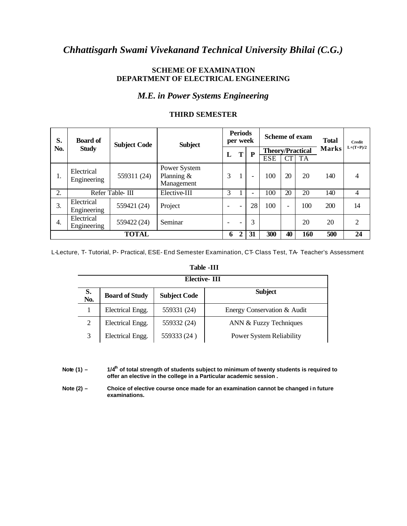# *Chhattisgarh Swami Vivekanand Technical University Bhilai (C.G.)*

### **SCHEME OF EXAMINATION DEPARTMENT OF ELECTRICAL ENGINEERING**

## *M.E. in Power Systems Engineering*

| S.  | <b>Board of</b>           | <b>Subject Code</b> | <b>Subject</b>                             |   | <b>Periods</b><br>per week |                          | Scheme of exam          |                          | <b>Total</b> | <b>Credit</b> |                |
|-----|---------------------------|---------------------|--------------------------------------------|---|----------------------------|--------------------------|-------------------------|--------------------------|--------------|---------------|----------------|
| No. | <b>Study</b>              |                     |                                            | L | T                          | P                        | <b>Theory/Practical</b> |                          |              | <b>Marks</b>  | $L+(T+P)/2$    |
|     |                           |                     |                                            |   |                            |                          | <b>ESE</b>              | CT                       | <b>TA</b>    |               |                |
| 1.  | Electrical<br>Engineering | 559311 (24)         | Power System<br>Planning $&$<br>Management | 3 | 1                          | $\overline{\phantom{a}}$ | 100                     | 20                       | 20           | 140           | 4              |
| 2.  |                           | Refer Table-III     | Elective-III                               | 3 |                            | $\overline{\phantom{0}}$ | 100                     | 20                       | 20           | 140           | $\overline{4}$ |
| 3.  | Electrical<br>Engineering | 559421 (24)         | Project                                    |   | $\qquad \qquad$            | 28                       | 100                     | $\overline{\phantom{0}}$ | 100          | 200           | 14             |
| 4.  | Electrical<br>Engineering | 559422 (24)         | Seminar                                    |   |                            | 3                        |                         |                          | 20           | 20            | $\overline{2}$ |
|     | <b>TOTAL</b>              |                     |                                            | 6 | $\mathbf{2}$               | 31                       | 300                     | 40                       | 160          | 500           | 24             |

### **THIRD SEMESTER**

L-Lecture, T- Tutorial, P- Practical, ESE- End Semester Examination, CT- Class Test, TA- Teacher's Assessment

#### **Table -III**

|           | Elective-III          |                     |                                 |  |  |  |  |  |  |
|-----------|-----------------------|---------------------|---------------------------------|--|--|--|--|--|--|
| S.<br>No. | <b>Board of Study</b> | <b>Subject Code</b> | <b>Subject</b>                  |  |  |  |  |  |  |
|           | Electrical Engg.      | 559331 (24)         | Energy Conservation & Audit     |  |  |  |  |  |  |
| 2         | Electrical Engg.      | 559332 (24)         | ANN & Fuzzy Techniques          |  |  |  |  |  |  |
| 3         | Electrical Engg.      | 559333 (24)         | <b>Power System Reliability</b> |  |  |  |  |  |  |

**Note (1) – 1/4th of total strength of students subject to minimum of twenty students is required to offer an elective in the college in a Particular academic session .**

**Note (2) – Choice of elective course once made for an examination cannot be changed i n future examinations.**